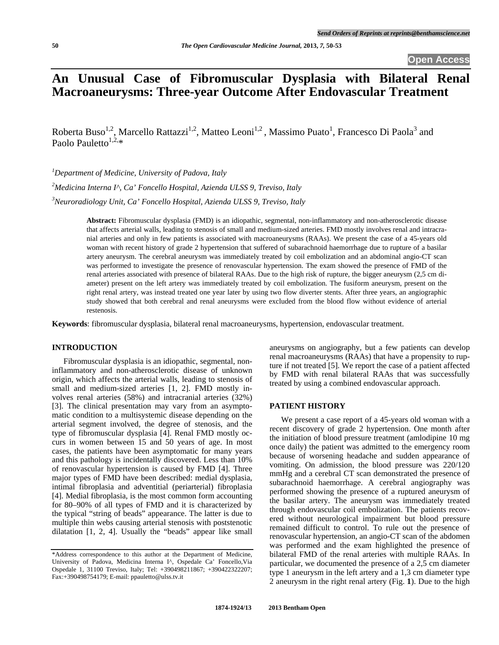## **An Unusual Case of Fibromuscular Dysplasia with Bilateral Renal Macroaneurysms: Three-year Outcome After Endovascular Treatment**

Roberta Buso<sup>1,2</sup>, Marcello Rattazzi<sup>1,2</sup>, Matteo Leoni<sup>1,2</sup>, Massimo Puato<sup>1</sup>, Francesco Di Paola<sup>3</sup> and Paolo Pauletto<sup>1,2,\*</sup>

*1 Department of Medicine, University of Padova, Italy* 

*2 Medicina Interna I^, Ca' Foncello Hospital, Azienda ULSS 9, Treviso, Italy* 

*3 Neuroradiology Unit, Ca' Foncello Hospital, Azienda ULSS 9, Treviso, Italy* 

**Abstract:** Fibromuscular dysplasia (FMD) is an idiopathic, segmental, non-inflammatory and non-atherosclerotic disease that affects arterial walls, leading to stenosis of small and medium-sized arteries. FMD mostly involves renal and intracranial arteries and only in few patients is associated with macroaneurysms (RAAs). We present the case of a 45-years old woman with recent history of grade 2 hypertension that suffered of subarachnoid haemorrhage due to rupture of a basilar artery aneurysm. The cerebral aneurysm was immediately treated by coil embolization and an abdominal angio-CT scan was performed to investigate the presence of renovascular hypertension. The exam showed the presence of FMD of the renal arteries associated with presence of bilateral RAAs. Due to the high risk of rupture, the bigger aneurysm (2,5 cm diameter) present on the left artery was immediately treated by coil embolization. The fusiform aneurysm, present on the right renal artery, was instead treated one year later by using two flow diverter stents. After three years, an angiographic study showed that both cerebral and renal aneurysms were excluded from the blood flow without evidence of arterial restenosis.

**Keywords**: fibromuscular dysplasia, bilateral renal macroaneurysms, hypertension, endovascular treatment.

### **INTRODUCTION**

 Fibromuscular dysplasia is an idiopathic, segmental, noninflammatory and non-atherosclerotic disease of unknown origin, which affects the arterial walls, leading to stenosis of small and medium-sized arteries [1, 2]. FMD mostly involves renal arteries (58%) and intracranial arteries (32%) [3]. The clinical presentation may vary from an asymptomatic condition to a multisystemic disease depending on the arterial segment involved, the degree of stenosis, and the type of fibromuscular dysplasia [4]. Renal FMD mostly occurs in women between 15 and 50 years of age. In most cases, the patients have been asymptomatic for many years and this pathology is incidentally discovered. Less than 10% of renovascular hypertension is caused by FMD [4]. Three major types of FMD have been described: medial dysplasia, intimal fibroplasia and adventitial (periarterial) fibroplasia [4]. Medial fibroplasia, is the most common form accounting for 80–90% of all types of FMD and it is characterized by the typical "string of beads" appearance. The latter is due to multiple thin webs causing arterial stenosis with poststenotic dilatation [1, 2, 4]. Usually the "beads" appear like small

aneurysms on angiography, but a few patients can develop renal macroaneurysms (RAAs) that have a propensity to rupture if not treated [5]. We report the case of a patient affected by FMD with renal bilateral RAAs that was successfully treated by using a combined endovascular approach.

### **PATIENT HISTORY**

 We present a case report of a 45-years old woman with a recent discovery of grade 2 hypertension. One month after the initiation of blood pressure treatment (amlodipine 10 mg once daily) the patient was admitted to the emergency room because of worsening headache and sudden appearance of vomiting. On admission, the blood pressure was 220/120 mmHg and a cerebral CT scan demonstrated the presence of subarachnoid haemorrhage. A cerebral angiography was performed showing the presence of a ruptured aneurysm of the basilar artery. The aneurysm was immediately treated through endovascular coil embolization. The patients recovered without neurological impairment but blood pressure remained difficult to control. To rule out the presence of renovascular hypertension, an angio-CT scan of the abdomen was performed and the exam highlighted the presence of bilateral FMD of the renal arteries with multiple RAAs. In particular, we documented the presence of a 2,5 cm diameter type 1 aneurysm in the left artery and a 1,3 cm diameter type 2 aneurysm in the right renal artery (Fig. **1**). Due to the high

<sup>\*</sup>Address correspondence to this author at the Department of Medicine, University of Padova, Medicina Interna I^, Ospedale Ca' Foncello,Via Ospedale 1, 31100 Treviso, Italy; Tel: +390498211867; +390422322207; Fax:+390498754179; E-mail: ppauletto@ulss.tv.it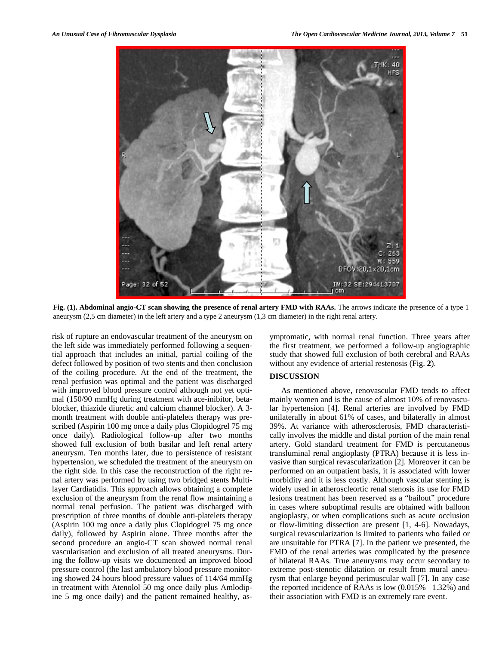

**Fig. (1). Abdominal angio-CT scan showing the presence of renal artery FMD with RAAs.** The arrows indicate the presence of a type 1 aneurysm (2,5 cm diameter) in the left artery and a type 2 aneurysm (1,3 cm diameter) in the right renal artery.

risk of rupture an endovascular treatment of the aneurysm on the left side was immediately performed following a sequential approach that includes an initial, partial coiling of the defect followed by position of two stents and then conclusion of the coiling procedure. At the end of the treatment, the renal perfusion was optimal and the patient was discharged with improved blood pressure control although not yet optimal (150/90 mmHg during treatment with ace-inibitor, betablocker, thiazide diuretic and calcium channel blocker). A 3 month treatment with double anti-platelets therapy was prescribed (Aspirin 100 mg once a daily plus Clopidogrel 75 mg once daily). Radiological follow-up after two months showed full exclusion of both basilar and left renal artery aneurysm. Ten months later, due to persistence of resistant hypertension, we scheduled the treatment of the aneurysm on the right side. In this case the reconstruction of the right renal artery was performed by using two bridged stents Multilayer Cardiatidis. This approach allows obtaining a complete exclusion of the aneurysm from the renal flow maintaining a normal renal perfusion. The patient was discharged with prescription of three months of double anti-platelets therapy (Aspirin 100 mg once a daily plus Clopidogrel 75 mg once daily), followed by Aspirin alone. Three months after the second procedure an angio-CT scan showed normal renal vascularisation and exclusion of all treated aneurysms. During the follow-up visits we documented an improved blood pressure control (the last ambulatory blood pressure monitoring showed 24 hours blood pressure values of 114/64 mmHg in treatment with Atenolol 50 mg once daily plus Amlodipine 5 mg once daily) and the patient remained healthy, asymptomatic, with normal renal function. Three years after the first treatment, we performed a follow-up angiographic study that showed full exclusion of both cerebral and RAAs without any evidence of arterial restenosis (Fig. **2**).

### **DISCUSSION**

 As mentioned above, renovascular FMD tends to affect mainly women and is the cause of almost 10% of renovascular hypertension [4]. Renal arteries are involved by FMD unilaterally in about 61% of cases, and bilaterally in almost 39%. At variance with atherosclerosis, FMD characteristically involves the middle and distal portion of the main renal artery. Gold standard treatment for FMD is percutaneous transluminal renal angioplasty (PTRA) because it is less invasive than surgical revascularization [2]. Moreover it can be performed on an outpatient basis, it is associated with lower morbidity and it is less costly. Although vascular stenting is widely used in atheroscleortic renal stenosis its use for FMD lesions treatment has been reserved as a "bailout" procedure in cases where suboptimal results are obtained with balloon angioplasty, or when complications such as acute occlusion or flow-limiting dissection are present [1, 4-6]. Nowadays, surgical revascularization is limited to patients who failed or are unsuitable for PTRA [7]. In the patient we presented, the FMD of the renal arteries was complicated by the presence of bilateral RAAs. True aneurysms may occur secondary to extreme post-stenotic dilatation or result from mural aneurysm that enlarge beyond perimuscular wall [7]. In any case the reported incidence of RAAs is low  $(0.015\% -1.32\%)$  and their association with FMD is an extremely rare event.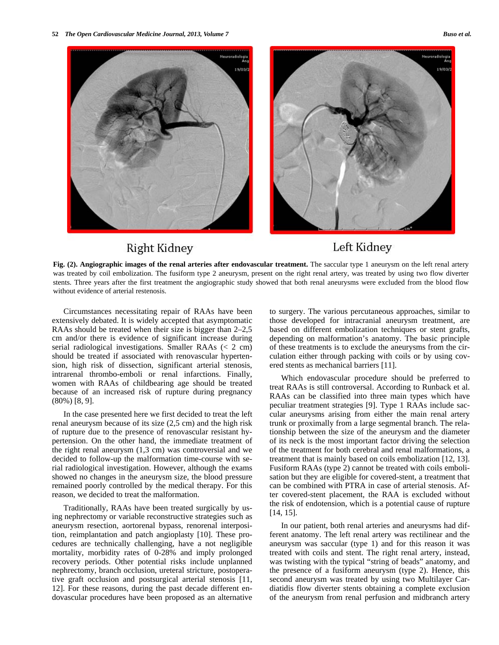



# **Right Kidney**

## Left Kidney

Fig. (2). Angiographic images of the renal arteries after endovascular treatment. The saccular type 1 aneurysm on the left renal artery was treated by coil embolization. The fusiform type 2 aneurysm, present on the right renal artery, was treated by using two flow diverter stents. Three years after the first treatment the angiographic study showed that both renal aneurysms were excluded from the blood flow without evidence of arterial restenosis.

 Circumstances necessitating repair of RAAs have been extensively debated. It is widely accepted that asymptomatic RAAs should be treated when their size is bigger than 2–2,5 cm and/or there is evidence of significant increase during serial radiological investigations. Smaller RAAs (< 2 cm) should be treated if associated with renovascular hypertension, high risk of dissection, significant arterial stenosis, intrarenal thrombo-emboli or renal infarctions. Finally, women with RAAs of childbearing age should be treated because of an increased risk of rupture during pregnancy (80%) [8, 9].

 In the case presented here we first decided to treat the left renal aneurysm because of its size (2,5 cm) and the high risk of rupture due to the presence of renovascular resistant hypertension. On the other hand, the immediate treatment of the right renal aneurysm (1,3 cm) was controversial and we decided to follow-up the malformation time-course with serial radiological investigation. However, although the exams showed no changes in the aneurysm size, the blood pressure remained poorly controlled by the medical therapy. For this reason, we decided to treat the malformation.

 Traditionally, RAAs have been treated surgically by using nephrectomy or variable reconstructive strategies such as aneurysm resection, aortorenal bypass, renorenal interposition, reimplantation and patch angioplasty [10]. These procedures are technically challenging, have a not negligible mortality, morbidity rates of 0-28% and imply prolonged recovery periods. Other potential risks include unplanned nephrectomy, branch occlusion, ureteral stricture, postoperative graft occlusion and postsurgical arterial stenosis [11, 12]. For these reasons, during the past decade different endovascular procedures have been proposed as an alternative to surgery. The various percutaneous approaches, similar to those developed for intracranial aneurysm treatment, are based on different embolization techniques or stent grafts, depending on malformation's anatomy. The basic principle of these treatments is to exclude the aneurysms from the circulation either through packing with coils or by using covered stents as mechanical barriers [11].

 Which endovascular procedure should be preferred to treat RAAs is still controversal. According to Runback et al. RAAs can be classified into three main types which have peculiar treatment strategies [9]. Type 1 RAAs include saccular aneurysms arising from either the main renal artery trunk or proximally from a large segmental branch. The relationship between the size of the aneurysm and the diameter of its neck is the most important factor driving the selection of the treatment for both cerebral and renal malformations, a treatment that is mainly based on coils embolization [12, 13]. Fusiform RAAs (type 2) cannot be treated with coils embolisation but they are eligible for covered-stent, a treatment that can be combined with PTRA in case of arterial stenosis. After covered-stent placement, the RAA is excluded without the risk of endotension, which is a potential cause of rupture [14, 15].

 In our patient, both renal arteries and aneurysms had different anatomy. The left renal artery was rectilinear and the aneurysm was saccular (type 1) and for this reason it was treated with coils and stent. The right renal artery, instead, was twisting with the typical "string of beads" anatomy, and the presence of a fusiform aneurysm (type 2). Hence, this second aneurysm was treated by using two Multilayer Cardiatidis flow diverter stents obtaining a complete exclusion of the aneurysm from renal perfusion and midbranch artery